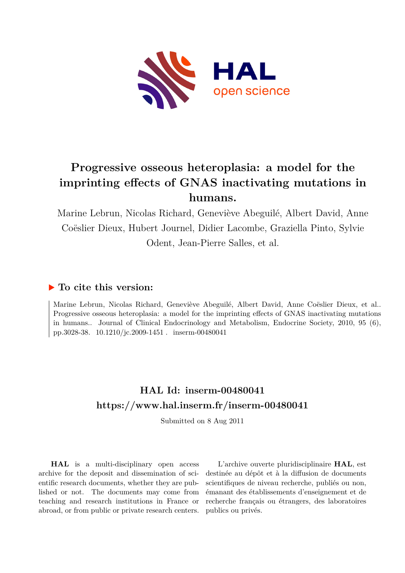

# **Progressive osseous heteroplasia: a model for the imprinting effects of GNAS inactivating mutations in humans.**

Marine Lebrun, Nicolas Richard, Geneviève Abeguilé, Albert David, Anne Coëslier Dieux, Hubert Journel, Didier Lacombe, Graziella Pinto, Sylvie Odent, Jean-Pierre Salles, et al.

# **To cite this version:**

Marine Lebrun, Nicolas Richard, Geneviève Abeguilé, Albert David, Anne Coëslier Dieux, et al.. Progressive osseous heteroplasia: a model for the imprinting effects of GNAS inactivating mutations in humans.. Journal of Clinical Endocrinology and Metabolism, Endocrine Society, 2010, 95 (6), pp.3028-38. 10.1210/jc.2009-1451 . inserm-00480041

# **HAL Id: inserm-00480041 <https://www.hal.inserm.fr/inserm-00480041>**

Submitted on 8 Aug 2011

**HAL** is a multi-disciplinary open access archive for the deposit and dissemination of scientific research documents, whether they are published or not. The documents may come from teaching and research institutions in France or abroad, or from public or private research centers.

L'archive ouverte pluridisciplinaire **HAL**, est destinée au dépôt et à la diffusion de documents scientifiques de niveau recherche, publiés ou non, émanant des établissements d'enseignement et de recherche français ou étrangers, des laboratoires publics ou privés.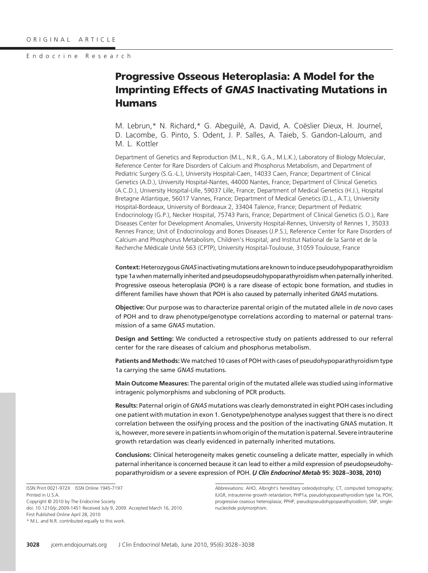# **Progressive Osseous Heteroplasia: A Model for the Imprinting Effects of** *GNAS* **Inactivating Mutations in Humans**

M. Lebrun,\* N. Richard,\* G. Abequilé, A. David, A. Coëslier Dieux, H. Journel. D. Lacombe, G. Pinto, S. Odent, J. P. Salles, A. Taieb, S. Gandon-Laloum, and M. L. Kottler

Department of Genetics and Reproduction (M.L., N.R., G.A., M.L.K.), Laboratory of Biology Molecular, Reference Center for Rare Disorders of Calcium and Phosphorus Metabolism, and Department of Pediatric Surgery (S.G.-L.), University Hospital-Caen, 14033 Caen, France; Department of Clinical Genetics (A.D.), University Hospital-Nantes, 44000 Nantes, France; Department of Clinical Genetics (A.C.D.), University Hospital-Lille, 59037 Lille, France; Department of Medical Genetics (H.J.), Hospital Bretagne Atlantique, 56017 Vannes, France; Department of Medical Genetics (D.L., A.T.), University Hospital-Bordeaux, University of Bordeaux 2, 33404 Talence, France; Department of Pediatric Endocrinology (G.P.), Necker Hospital, 75743 Paris, France; Department of Clinical Genetics (S.O.), Rare Diseases Center for Development Anomalies, University Hospital-Rennes, University of Rennes 1, 35033 Rennes France; Unit of Endocrinology and Bones Diseases (J.P.S.), Reference Center for Rare Disorders of Calcium and Phosphorus Metabolism, Children's Hospital; and Institut National de la Santé et de la Recherche Médicale Unité 563 (CPTP), University Hospital-Toulouse, 31059 Toulouse, France

**Context:**Heterozygous*GNAS*inactivatingmutations are known toinducepseudohypoparathyroidism type 1a when maternally inherited and pseudopseudohypoparathyroidism when paternally inherited. Progressive osseous heteroplasia (POH) is a rare disease of ectopic bone formation, and studies in different families have shown that POH is also caused by paternally inherited *GNAS* mutations.

**Objective:** Our purpose was to characterize parental origin of the mutated allele in *de novo* cases of POH and to draw phenotype/genotype correlations according to maternal or paternal transmission of a same *GNAS* mutation.

**Design and Setting:** We conducted a retrospective study on patients addressed to our referral center for the rare diseases of calcium and phosphorus metabolism.

**Patients and Methods:** We matched 10 cases of POH with cases of pseudohypoparathyroidism type 1a carrying the same *GNAS* mutations.

**Main Outcome Measures:** The parental origin of the mutated allele was studied using informative intragenic polymorphisms and subcloning of PCR products.

**Results:** Paternal origin of *GNAS* mutations was clearly demonstrated in eight POH cases including one patient with mutation in exon 1. Genotype/phenotype analyses suggest that there is no direct correlation between the ossifying process and the position of the inactivating GNAS mutation. It is, however, more severe in patients in whom origin of the mutation is paternal. Severe intrauterine growth retardation was clearly evidenced in paternally inherited mutations.

**Conclusions:** Clinical heterogeneity makes genetic counseling a delicate matter, especially in which paternal inheritance is concerned because it can lead to either a mild expression of pseudopseudohypoparathyroidism or a severe expression of POH. **(***J Clin Endocrinol Metab* **95: 3028 –3038, 2010)**

ISSN Print 0021-972X ISSN Online 1945-7197 Printed in U.S.A. Copyright © 2010 by The Endocrine Society doi: 10.1210/jc.2009-1451 Received July 9, 2009. Accepted March 16, 2010. First Published Online April 28, 2010 \* M.L. and N.R. contributed equally to this work.

Abbreviations: AHO, Albright's hereditary osteodystrophy; CT, computed tomography; IUGR, intrauterine growth retardation; PHP1a, pseudohypoparathyroidism type 1a; POH, progressive osseous heteroplasia; PPHP, pseudopseudohypoparathyroidism; SNP, singlenucleotide polymorphism.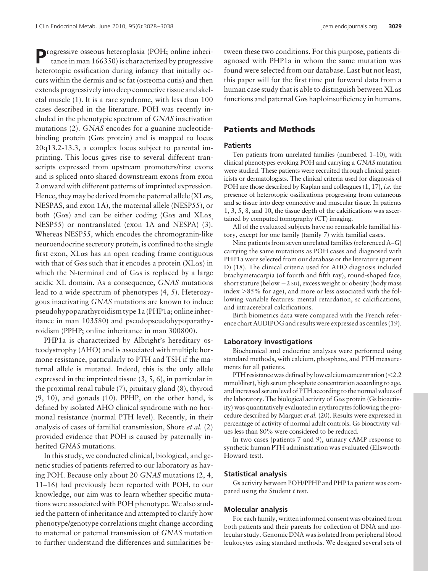Progressive osseous heteroplasia (POH; online inheritance in man 166350) is characterized by progressive heterotopic ossification during infancy that initially occurs within the dermis and sc fat (osteoma cutis) and then extends progressively into deep connective tissue and skeletal muscle (1). It is a rare syndrome, with less than 100 cases described in the literature. POH was recently included in the phenotypic spectrum of *GNAS* inactivation mutations (2). *GNAS* encodes for a guanine nucleotidebinding protein  $(G_{\alpha s}$  protein) and is mapped to locus 20q13.2-13.3, a complex locus subject to parental imprinting. This locus gives rise to several different transcripts expressed from upstream promoters/first exons and is spliced onto shared downstream exons from exon 2 onward with different patterns of imprinted expression. Hence, they may be derived from the paternal allele (XL $\alpha$ s, NESPAS, and exon 1A), the maternal allele (NESP55), or both (G $\alpha$ s) and can be either coding (G $\alpha$ s and XL $\alpha$ s) NESP55) or nontranslated (exon 1A and NESPA) (3). Whereas NESP55, which encodes the chromogranin-like neuroendocrine secretory protein, is confined to the single first exon,  $X$ L $\alpha$ s has an open reading frame contiguous with that of G $\alpha$ s such that it encodes a protein (XL $\alpha$ s) in which the N-terminal end of G $\alpha$ s is replaced by a large acidic XL domain. As a consequence, *GNAS* mutations lead to a wide spectrum of phenotypes (4, 5). Heterozygous inactivating *GNAS* mutations are known to induce pseudohypoparathyroidism type 1a (PHP1a; online inheritance in man 103580) and pseudopseudohypoparathyroidism (PPHP; online inheritance in man 300800).

PHP1a is characterized by Albright's hereditary osteodystrophy (AHO) and is associated with multiple hormone resistance, particularly to PTH and TSH if the maternal allele is mutated. Indeed, this is the only allele expressed in the imprinted tissue (3, 5, 6), in particular in the proximal renal tubule (7), pituitary gland (8), thyroid (9, 10), and gonads (10). PPHP, on the other hand, is defined by isolated AHO clinical syndrome with no hormonal resistance (normal PTH level). Recently, in their analysis of cases of familial transmission, Shore *et al.* (2) provided evidence that POH is caused by paternally inherited *GNAS* mutations.

In this study, we conducted clinical, biological, and genetic studies of patients referred to our laboratory as having POH. Because only about 20 *GNAS* mutations (2, 4, 11–16) had previously been reported with POH, to our knowledge, our aim was to learn whether specific mutations were associated with POH phenotype. We also studied the pattern of inheritance and attempted to clarify how phenotype/genotype correlations might change according to maternal or paternal transmission of *GNAS* mutation to further understand the differences and similarities between these two conditions. For this purpose, patients diagnosed with PHP1a in whom the same mutation was found were selected from our database. Last but not least, this paper will for the first time put forward data from a human case study that is able to distinguish between  $X$ L $\alpha$ s functions and paternal G $\alpha$ s haploinsufficiency in humans.

# **Patients and Methods**

#### **Patients**

Ten patients from unrelated families (numbered 1–10), with clinical phenotypes evoking POH and carrying a *GNAS* mutation were studied. These patients were recruited through clinical geneticists or dermatologists. The clinical criteria used for diagnosis of POH are those described by Kaplan and colleagues (1, 17), *i.e.* the presence of heterotopic ossifications progressing from cutaneous and sc tissue into deep connective and muscular tissue. In patients 1, 3, 5, 8, and 10, the tissue depth of the calcifications was ascertained by computed tomography (CT) imaging.

All of the evaluated subjects have no remarkable familial history, except for one family (family 7) with familial cases.

Nine patients from seven unrelated families (referenced A–G) carrying the same mutations as POH cases and diagnosed with PHP1a were selected from our database or the literature (patient D) (18). The clinical criteria used for AHO diagnosis included brachymetacarpia (of fourth and fifth ray), round-shaped face, short stature (below  $-2$  SD), excess weight or obesity (body mass index -85% for age), and more or less associated with the following variable features: mental retardation, sc calcifications, and intracerebral calcifications.

Birth biometrics data were compared with the French reference chart AUDIPOG and results were expressed as centiles (19).

#### **Laboratory investigations**

Biochemical and endocrine analyses were performed using standard methods, with calcium, phosphate, and PTH measurements for all patients.

PTH resistance was defined by low calcium concentration (<2.2) mmol/liter), high serum phosphate concentration according to age, and increased serum level of PTH according to the normal values of the laboratory. The biological activity of  $G\alpha s$  protein ( $G\alpha s$  bioactivity) was quantitatively evaluated in erythrocytes following the procedure described by Marguet *et al.* (20). Results were expressed in percentage of activity of normal adult controls. Gs bioactivity values less than 80% were considered to be reduced.

In two cases (patients 7 and 9), urinary cAMP response to synthetic human PTH administration was evaluated (Ellsworth-Howard test).

#### **Statistical analysis**

Gs activity between POH/PPHP and PHP1a patient was compared using the Student *t* test.

# **Molecular analysis**

For each family, written informed consent was obtained from both patients and their parents for collection of DNA and molecular study. Genomic DNA was isolated from peripheral blood leukocytes using standard methods. We designed several sets of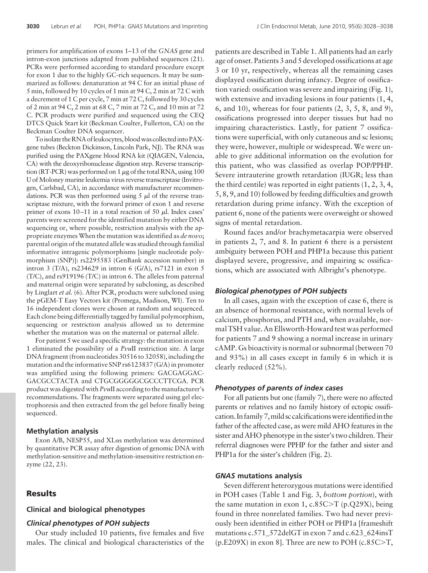primers for amplification of exons 1–13 of the *GNAS* gene and intron-exon junctions adapted from published sequences (21). PCRs were performed according to standard procedure except for exon 1 due to the highly GC-rich sequences. It may be summarized as follows: denaturation at 94 C for an initial phase of 5 min, followed by 10 cycles of 1 min at 94 C, 2 min at 72 C with a decrement of 1 C per cycle, 7 min at 72 C, followed by 30 cycles of 2 min at 94 C, 2 min at 68 C, 7 min at 72 C, and 10 min at 72 C. PCR products were purified and sequenced using the CEQ DTCS Quick Start kit (Beckman Coulter, Fullerton, CA) on the Beckman Coulter DNA sequencer.

To isolate the RNA of leukocytes, blood was collected into PAXgene tubes (Beckton Dickinson, Lincoln Park, NJ). The RNA was purified using the PAXgene blood RNA kit (QIAGEN, Valencia, CA) with the deoxyribonuclease digestion step. Reverse transcription (RT-PCR) was performed on 1  $\mu$ g of the total RNA, using 100 U of Moloney murine leukemia virus reverse transcriptase (Invitrogen, Carlsbad, CA), in accordance with manufacturer recommendations. PCR was then performed using  $5 \mu l$  of the reverse transcriptase mixture, with the forward primer of exon 1 and reverse primer of exons  $10-11$  in a total reaction of 50  $\mu$ l. Index cases' parents were screened for the identified mutation by either DNA sequencing or, where possible, restriction analysis with the appropriate enzymes When the mutation was identified as *de novo*; parental origin of the mutated allele was studied through familial informative intragenic polymorphisms [single nucleotide polymorphism (SNP)]: rs2295583 (GenBank accession number) in intron 3 (T/A), rs234629 in intron 6 (G/A), rs7121 in exon 5 (T/C), and rs919196 (T/C) in intron 6. The alleles from paternal and maternal origin were separated by subcloning, as described by Linglart *et al.* (6). After PCR, products were subcloned using the pGEM-T Easy Vectors kit (Promega, Madison, WI). Ten to 16 independent clones were chosen at random and sequenced. Each clone being differentially tagged by familial polymorphism, sequencing or restriction analysis allowed us to determine whether the mutation was on the maternal or paternal allele.

For patient 5 we used a specific strategy: the mutation in exon 1 eliminated the possibility of a *Pvu*II restriction site. A large DNA fragment (from nucleotides 30516 to 32058), including the mutation and the informative SNP rs6123837 (G/A) in promoter was amplified using the following primers: GACGAGGAC-GACGCCTACTA and CTGCGGGGGCGCCCTTCGA. PCR product was digested with *Pvu*II according to the manufacturer's recommendations. The fragments were separated using gel electrophoresis and then extracted from the gel before finally being sequenced.

#### **Methylation analysis**

Exon A/B, NESP55, and XL $\alpha$ s methylation was determined by quantitative PCR assay after digestion of genomic DNA with methylation-sensitive and methylation-insensitive restriction enzyme (22, 23).

# **Results**

#### **Clinical and biological phenotypes**

#### *Clinical phenotypes of POH subjects*

Our study included 10 patients, five females and five males. The clinical and biological characteristics of the

patients are described in Table 1. All patients had an early age of onset. Patients 3 and 5 developed ossifications at age 3 or 10 yr, respectively, whereas all the remaining cases displayed ossification during infancy. Degree of ossification varied: ossification was severe and impairing (Fig. 1), with extensive and invading lesions in four patients (1, 4, 6, and 10), whereas for four patients (2, 3, 5, 8, and 9), ossifications progressed into deeper tissues but had no impairing characteristics. Lastly, for patient 7 ossifications were superficial, with only cutaneous and sc lesions; they were, however, multiple or widespread. We were unable to give additional information on the evolution for this patient, who was classified as overlap POP/PPHP. Severe intrauterine growth retardation (IUGR; less than the third centile) was reported in eight patients (1, 2, 3, 4, 5, 8, 9, and 10) followed by feeding difficulties and growth retardation during prime infancy. With the exception of patient 6, none of the patients were overweight or showed signs of mental retardation.

Round faces and/or brachymetacarpia were observed in patients 2, 7, and 8. In patient 6 there is a persistent ambiguity between POH and PHP1a because this patient displayed severe, progressive, and impairing sc ossifications, which are associated with Albright's phenotype.

# *Biological phenotypes of POH subjects*

In all cases, again with the exception of case 6, there is an absence of hormonal resistance, with normal levels of calcium, phosphorus, and PTH and, when available, normal TSH value. An Ellsworth-Howard test was performed for patients 7 and 9 showing a normal increase in urinary cAMP. Gs bioactivity is normal or subnormal (between 70 and 93%) in all cases except in family 6 in which it is clearly reduced (52%).

#### *Phenotypes of parents of index cases*

For all patients but one (family 7), there were no affected parents or relatives and no family history of ectopic ossification. In family 7, mild sc calcifications were identified in the father of the affected case, as were mild AHO features in the sister and AHO phenotype in the sister's two children. Their referral diagnoses were PPHP for the father and sister and PHP1a for the sister's children (Fig. 2).

#### *GNAS* **mutations analysis**

Seven different heterozygous mutations were identified in POH cases (Table 1 and Fig. 3, *bottom portion*), with the same mutation in exon 1, c.85C-T (p.Q29X), being found in three nonrelated families. Two had never previously been identified in either POH or PHP1a [frameshift mutations c.571\_572delGT in exon 7 and c.623\_624insT  $(p.E209X)$  in exon 8]. Three are new to POH (c.85C $\geq$ T,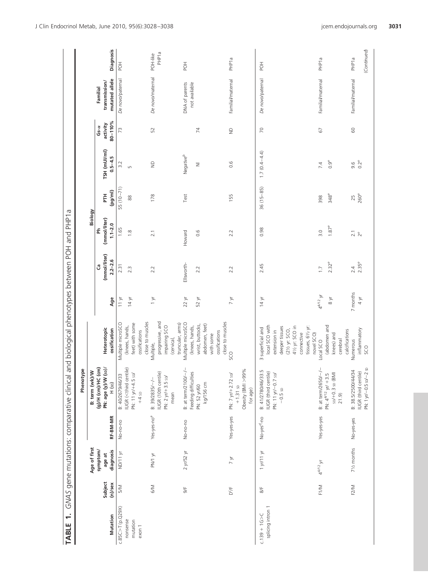|                                                                                                              | Phenotype<br>B: term (wk)/W |                                                                                                                                                             |                                   |                    | Biology                       |                  |                       |                         |                                 |                   |
|--------------------------------------------------------------------------------------------------------------|-----------------------------|-------------------------------------------------------------------------------------------------------------------------------------------------------------|-----------------------------------|--------------------|-------------------------------|------------------|-----------------------|-------------------------|---------------------------------|-------------------|
| (g)/H (cm)/HC (cm)<br>PN: age (y)/W                                                                          | $(s_0)$                     | Heterotopic                                                                                                                                                 |                                   | (mmol/liter)<br>යී | (mmol/liter)<br>줄             | Ě                | TSH (mUI/ml)          | activity<br>$Gs-\alpha$ | transmission/<br>Familial       |                   |
| $H$ (sb)<br>RF-BM-MR                                                                                         |                             | ossification                                                                                                                                                | Age                               | $2.2 - 2.6$        | $1.1 - 2.0$                   | (pg/ml)          | $0.5 - 4.5$           | $80 - 110%$             | mutated allele                  | Diagnosis         |
| B: 40/2679/46/33<br>No-no-no                                                                                 |                             | Multiple microSCO                                                                                                                                           | $11 \text{ yr}$                   | 2.31               | 1.65                          | $55(10-71)$      | 3.2                   | 73                      | De novo/paternal                | HOH               |
| IUGR ( <third centile)<br="">PN: 11 yr/+4.5 sp/<br/><math>+4</math> sp</third>                               |                             | close to muscles<br>feet) with some<br>(knees, hands,<br>ossifications                                                                                      | 14 уг                             | $2.\overline{3}$   | $\frac{8}{1}$                 | $^{\circ}_{88}$  | LN                    |                         |                                 |                   |
| IUGR (10th centile)<br>PN: $2$ $yr/ + 3.5$ sp/<br>$B: 39/2835/-/-$<br>mean<br>Yes-yes-no <sup>a</sup>        |                             | progressive, and<br>truncular, arms)<br>impairing SCO<br>(cervical,<br>Multiple,                                                                            | $\frac{1}{2}$                     | 2.2                | 2.1                           | 178              | $\overline{z}$        | 52                      | De novo/maternal                | PHP1a<br>POH-like |
| $B:$ at term/2100/ $-/-$<br>Feeding difficulties<br>No-no-no                                                 |                             | Multiple microSCO<br>(knees, hands,                                                                                                                         | 22 yr                             | Ellsworth-         | Howard                        | Test             | Negative <sup>b</sup> |                         | DNA of parents<br>not available | HOF               |
| kg/156 cm<br>PN: 52 yr/60                                                                                    |                             | close to muscles<br>abdomen, feet)<br>wrist, buttocks,<br>ossifications<br>with some                                                                        | 52 yr                             | 2.2                | $0.\overline{6}$              |                  | Ξ                     | $\overline{z}$          |                                 |                   |
| Obesity (BMI >99%<br>PN: 7 yr/+2.72 sp/<br>$+1.31$ sp<br>for age)<br>Yes-yes-yes                             |                             | SCO                                                                                                                                                         | 7 уг                              | 2.2                | 2.2                           | 155              | 0.6                   | $\frac{1}{2}$           | Familial/maternal               | PHP <sub>1a</sub> |
| 3.5<br>IUGR (third centile)<br>PN: 11 yr/-0.7 sp/<br>B: 41/2780/46/3<br>$-0.5$ sp<br>No-yes <sup>d</sup> -no |                             | local SCO with<br>tissues, 61/2 yr:<br>41/2 yr: SCO in<br>deeper tissues<br>3 superficial and<br>(21/2 yr: SCO,<br>extension in<br>connective<br>novel SCO) | 14 уг                             | 2.45               | 0.98                          | $36(15-85)$      | $1.7(0.4 - 4.4)$      | $\approx$               | De novo/paternal                | HOF               |
| B: at term/2650/ $-/-$<br>N: $4^{4/12}$ yr/ +3.5<br>so/+0.3 so (BMI<br>PN: $4^{4/12}$ yr/ +3.<br>Yes-yes-yes |                             | (abdomen and<br>knees) and<br>Local SCO                                                                                                                     | $4^{4/12}$ yr<br>$_{8}^{\circ}$ M | $2.32^e$<br>1.7    | $1.87^e$<br>$\overline{3}$ .0 | $348^e$<br>398   | $0.9^e$<br>7.4        | 67                      | Familial/maternal               | PHP <sub>1a</sub> |
| 21.9                                                                                                         |                             | calcifications<br>cerebral                                                                                                                                  |                                   |                    |                               |                  |                       |                         |                                 |                   |
| B: 38.5/2500/44/34<br>No-yes-yes                                                                             |                             | Numerous                                                                                                                                                    | 7 months                          | 2.4                | $2.1$<br>$2^e$                | 25               | 9.6                   | $\odot$                 | Familial/maternal               | PHP1a             |
| PN: 1 yr/-0.5 sp/-2 sp<br>IUGR (third centile)                                                               |                             | inflammatory<br>SCO                                                                                                                                         | $4 \gamma$                        | 2.35e              |                               | 260 <sup>e</sup> | $0.2^e$               |                         |                                 | (Continued)       |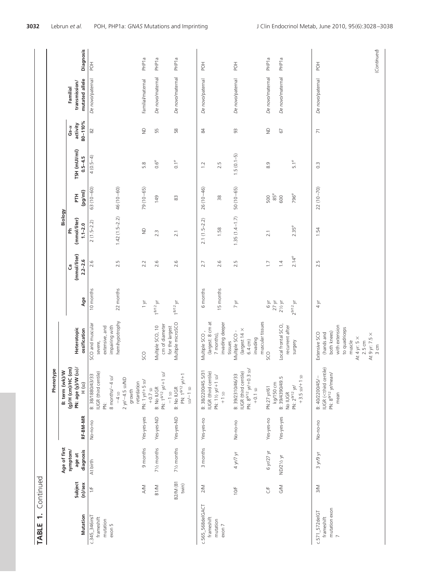| NUT<br>Ľ<br>:+<br>أ+<br>Ξ |  |
|---------------------------|--|
| t                         |  |
| TAB'                      |  |

|                                                      |                          |                         |             | Phenotype                                                                                       |                                                                                                                                                             |                         |                   |                         |                     |               |                          |                                  |                   |
|------------------------------------------------------|--------------------------|-------------------------|-------------|-------------------------------------------------------------------------------------------------|-------------------------------------------------------------------------------------------------------------------------------------------------------------|-------------------------|-------------------|-------------------------|---------------------|---------------|--------------------------|----------------------------------|-------------------|
|                                                      |                          | Age of first            |             | B: term (wk)/W                                                                                  |                                                                                                                                                             |                         |                   | Biology                 |                     |               |                          |                                  |                   |
|                                                      | Subject                  | symptom/<br>age at      |             | (g)/H (cm)/HC (cm)<br>PN: age (y)/W (sp)/                                                       | Heterotopic                                                                                                                                                 |                         | (mmol/liter)<br>ී | (mmol/liter)<br>운       | FTH                 | TSH (mUI/ml)  | activity<br>Gs- $\alpha$ | transmission/<br><b>Familial</b> |                   |
| Mutation                                             | $(n)/$ sex               | diagnosis               | RF-BM-MR    | $H$ (sb)                                                                                        | ossification                                                                                                                                                | Age                     | $2.2 - 2.6$       | $1.1 - 2.0$             | (pg/ml)             | $0.5 - 4.5$   | $80 - 110%$              | mutated allele                   | Diagnosis         |
| $c.345$ _346insT<br>frameshift<br>mutation<br>exon 5 | $\frac{1}{2}$            | At birth                | No-no-no    | B: 38/1880/43/33<br>IUGR (third centile)<br>8 months/-4 sp/<br>Ż                                | SCO and muscular<br>impairing with<br>extensive, and<br>severe,                                                                                             | 10 months               | 2.6               | $2(1.5-2.2)$            | $63(10-60)$         | $4(0.5-4)$    | $\approx$                | De novo/paternal                 | $\overline{P}$    |
|                                                      |                          |                         |             | $2 \text{ yr}/-4.5 \text{ so}/\text{ND}$<br>growth<br>$-4$ sp                                   | hemihypotrophy                                                                                                                                              | 22 months               | 2.5               | $1.42(1.5-2.2)$         | $46(10-60)$         |               |                          |                                  |                   |
|                                                      | $\geqslant$              | 9 months                | Yes-yes-yes | PN: 1 yr/+5 sp/<br>retardation<br>$+0.7$ sp                                                     | SCO                                                                                                                                                         | $\frac{1}{2}$           | 2.2               | $\frac{\Omega}{\Omega}$ | 79 (10 - 65)        | 5.8           | $\ominus$                | Familial/maternal                | PHP1a             |
|                                                      | B <sub>1/M</sub>         | 71/ <sub>2</sub> months | Yes-yes-ND  | PN: $1^{6/12}$ yr/+1 sp/<br>B: No IUGR<br>$-1$ sp                                               | cm of diameter<br>Multiple SCO, 10                                                                                                                          | $18/12$ yr              | 2.6               | $2.\overline{3}$        | 149                 | $0.6^e$       | 55                       | De novo/maternal                 | PHP <sub>1a</sub> |
|                                                      | <b>B2/M</b> (B1<br>twin) | 71/ <sub>2</sub> months | Yes-yes-ND  | PN: $1^{6/12}$ $y$ r/+1<br>B: No IUGR<br>$5D/-15D$                                              | Multiple microSCO<br>for the largest                                                                                                                        | $1^{8/12}$ yr           | 2.6               | 2.1                     | 83                  | $0.1^e$       | 58                       | De novo/maternal                 | PHP <sub>1a</sub> |
| c.565_568delGACT<br>frameshift                       | 2/N                      | 3 months                | Yes-yes-no  | B: 38/2200/45.5/31<br>IUGR (third centile)                                                      | (largest: 8 cm at<br>Multiple SCO,                                                                                                                          | 6 months                | 2.7               | $2.1(1.5-2.2)$          | $26(10-46)$         | 12            | 24                       | De novo/paternal                 | HOT               |
| mutation<br>exon 7                                   |                          |                         |             | PN: 11/2 yr/+1 sp/<br>$+1$ sp                                                                   | invading deeper<br>7 months),<br>tissues                                                                                                                    | 15 months               | 2.6               | 1.58                    | $\frac{8}{3}$       | 2.5           |                          |                                  |                   |
|                                                      | 10/F                     | 4 уг/7 уг               | No-no-no    | PN: $8^{6/12}$ yr/+0.3 sp/<br>IUGR (third centile)<br>B: 39/2310/46/33<br>$+0.1$ sp             | muscular tissues<br>(largest 14 ×<br>Multiple SCO -<br>invading<br>6.4 cm)                                                                                  | 7 уг                    | 2.5               | $1.35(1.4 - 1.7)$       | $50(10-65)$         | $1.5(0.1-5)$  | 93                       | De novo/paternal                 | <b>HOF</b>        |
|                                                      | $\overline{C}$           | 6 уг/27 уг              | Yes-yes-no  | kg/150 cm<br>PN:27 yr/61                                                                        | SCO                                                                                                                                                         | 6 уг<br>$27 \text{ yr}$ | $\Box$            | 2.1                     | $85^{\rm e}$<br>500 | $\frac{0}{8}$ | $\infty$                 | De novo/maternal                 | PHP <sub>1a</sub> |
|                                                      | <b>S/N</b>               | ND/21/2 yr              | Yes-yes-yes | B: 39/4390/49.5<br>No IUGR                                                                      | Local frontal SCO,<br>recurrent after                                                                                                                       | $2\,\%$ yr              | 1.4               |                         | 600                 |               | 67                       | De novo/maternal                 | PHP <sub>1a</sub> |
|                                                      |                          |                         |             | $+3.5$ sp/ $+1$ sp<br>PN: $2^{9/12}$ yr/                                                        | surgery                                                                                                                                                     | $2^{9/12}$ yr           | $2.14^e$          | 2.35e                   | 796 <sup>e</sup>    | $5.1^e$       |                          |                                  |                   |
| mutation exon<br>$c.571$ _ $572$ delGT<br>frameshift | <b>M</b>                 | уку уг                  | No-no-no    | IUGR ( <third centile)<br="">PN: 8<sup>9/12</sup> yr/mean/<br/>B: 40/2200/45/-<br/>mean</third> | with extension<br>to quadriceps<br>both knees)<br>Extensive SCO<br>(hands and<br>At 9 yr: 7.5 $\times$<br>At 4 yr: 5 $\times$<br>$2.5 \text{ cm}$<br>muscle | $4\sqrt{1}$             | 2.5               | 1.54                    | $22(10-70)$         | $\frac{3}{2}$ | $\overline{7}$           | De novo/paternal                 | HOH               |
|                                                      |                          |                         |             |                                                                                                 | 3 cm                                                                                                                                                        |                         |                   |                         |                     |               |                          |                                  | (Continued)       |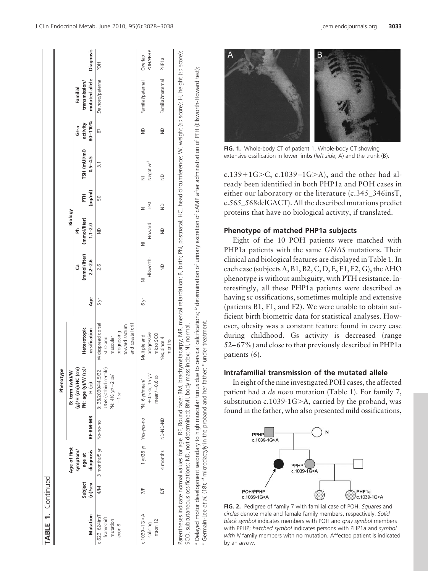| t           |
|-------------|
| m<br>ŕ<br>¢ |
|             |

|                                                     |                                |                                 |          | Phenotype                                                                                            |                                                                                                                                                                                                       |            |                                   |                                  |               |                             |                                        |                                             |                            |
|-----------------------------------------------------|--------------------------------|---------------------------------|----------|------------------------------------------------------------------------------------------------------|-------------------------------------------------------------------------------------------------------------------------------------------------------------------------------------------------------|------------|-----------------------------------|----------------------------------|---------------|-----------------------------|----------------------------------------|---------------------------------------------|----------------------------|
|                                                     |                                | Age of first                    |          | ≷<br>B: term (wk)/                                                                                   |                                                                                                                                                                                                       |            |                                   | Biology                          |               |                             |                                        |                                             |                            |
| Mutation                                            | Subject<br>(n)/sex             | diagnosis<br>symptom/<br>age at | RF-BM-MR | $\overline{\text{(s)}}$<br>ίE<br>$(g)/H$ (cm)/HC<br>PN: age (y)/W<br>$H$ (sb)                        | Heterotopic<br>ossification                                                                                                                                                                           | Age        | (mmol/liter)<br>$2.2 - 2.6$<br>යී | (mmol/liter)<br>$1.1 - 2.0$<br>운 | (pg/ml)<br>E  | TSH (mUI/ml)<br>$0.5 - 4.5$ | $80 - 110%$<br>activity<br>$G- \alpha$ | mutated allele<br>transmission/<br>Familial | Diagnosis                  |
| $c.623$ 624insT<br>frameshift<br>mutation<br>exon 8 | $\stackrel{\textstyle<}{\leq}$ | 3 months/5 yr                   | No-no-no | UGR ( <third centile)<br="">B: 38/2030/44.5/32<br/>PN: 41/2 yr/-2 sp/<br/><math>-1</math> sp</third> | and coastal drill<br>Widespread dorsal<br>toward sacrum<br>progressing<br>SCO and<br>muscular                                                                                                         | $5 \times$ | 2.6                               | $\supseteq$                      | 50            | $\frac{1}{3}$               | 87                                     | De novo/paternal                            | HOH                        |
| $c.1039 - 16 > A$<br>intron 12<br>splicing          | 片                              |                                 |          | $+0.5$ sp; 15 $\mu$<br>$mean/-0.6$ sp<br>1 yr/28 yr Yes-yes-no PN: 6 yr/mean/                        | progressive<br>micro SCO<br>Multiple and                                                                                                                                                              | e Al       | Ellsworth-<br>z                   | Howard<br>z                      | Test<br>Ξ     | Negative <sup>3</sup>       | $\triangleq$                           | Familial/paternal                           | <b>POH/PPHP</b><br>Overlap |
|                                                     | 5                              | 4 months                        | ND-ND-ND |                                                                                                      | Yes, since 4<br>months                                                                                                                                                                                |            | $\supseteq$                       | $\supseteq$                      | $\frac{1}{2}$ | $\supseteq$                 | $\supseteq$                            | Familial/maternal                           | PHP <sub>1a</sub>          |
|                                                     |                                |                                 |          | SCO, subcutaneous ossifications; ND, not determined; BMI, body mass index; NI, normal                | Parentheses indicate normal values for age. RF, Round face; BM, brachymetacarpy; MR, mental retardation; B, birth; PN, postnatal; HC, head circumference; W, weight (sp score); H, height (sp score); |            |                                   |                                  |               |                             |                                        |                                             |                            |

**FIG. 1.** Whole-body CT of patient 1. Whole-body CT showing extensive ossification in lower limbs (*left side*; A) and the trunk (B).

c.139+1G>C, c.1039–1G>A), and the other had already been identified in both PHP1a and POH cases in either our laboratory or the literature (c.345\_346insT, c.565\_568delGACT). All the described mutations predict proteins that have no biological activity, if translated.

#### **Phenotype of matched PHP1a subjects**

Eight of the 10 POH patients were matched with PHP1a patients with the same *GNAS* mutations. Their clinical and biological features are displayed in Table 1. In each case (subjects A, B1, B2, C, D, E, F1, F2, G), the AHO phenotype is without ambiguity, with PTH resistance. Interestingly, all these PHP1a patients were described as having sc ossifications, sometimes multiple and extensive (patients B1, F1, and F2). We were unable to obtain sufficient birth biometric data for statistical analyses. However, obesity was a constant feature found in every case during childhood. Gs activity is decreased (range 52– 67%) and close to that previously described in PHP1a patients (6).

# **Intrafamilial transmission of the mutated allele**

In eight of the nine investigated POH cases, the affected patient had a *de novo* mutation (Table 1). For family 7, substitution c.1039-1G-A, carried by the proband, was found in the father, who also presented mild ossifications,



**FIG. 2.** Pedigree of family 7 with familial case of POH. *Squares* and *circles* denote male and female family members, respectively. *Solid black symbol* indicates members with POH and *gray symbol* members with PPHP; *hatched symbol* indicates persons with PHP1a and *symbol with N* family members with no mutation. Affected patient is indicated by an *arrow*.

*a*

ª Delayed motor development secondary to high muscular tonus due to cervical calcifications; <sup>6</sup> determination of urinary excretion of cAMP after administration of PTH (Ellsworth-Howard test);<br><sup>c</sup> Germain-Lee e*t al.* (18)

father; e under treatment.

to high muscular tonus due to

development secondary

 $(18)$ ;

 $\vec{a}$  $\tilde{e}$ motor

Germain-Lee Delayed

<sup>a</sup> microdactyly in the proband and her

cervical calcifications; <sup>6</sup> determination of urinary excretion of cAMP after administration of PTH (Ellsworth-Howard test);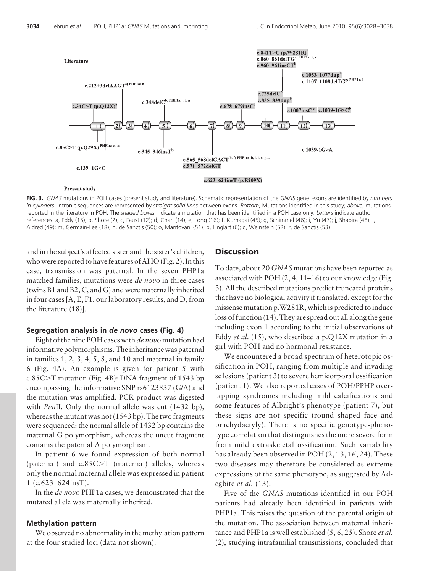

**FIG. 3.** *GNAS* mutations in POH cases (present study and literature). Schematic representation of the *GNAS* gene: exons are identified by *numbers in cylinders*. Intronic sequences are represented by *straight solid lines* between exons. *Bottom*, Mutations identified in this study; *above*, mutations reported in the literature in POH. The *shaded boxes* indicate a mutation that has been identified in a POH case only. *Letters* indicate author references: a, Eddy (15); b, Shore (2); c, Faust (12); d, Chan (14); e, Long (16); f, Kumagai (45); g, Schimmel (46); i, Yu (47); j, Shapira (48); l, Aldred (49); m, Germain-Lee (18); n, de Sanctis (50); o, Mantovani (51); p, Linglart (6); q, Weinstein (52); r, de Sanctis (53).

and in the subject's affected sister and the sister's children, who were reported to have features of AHO (Fig. 2). In this case, transmission was paternal. In the seven PHP1a matched families, mutations were *de novo* in three cases (twins B1 and B2, C, and G) and were maternally inherited in four cases [A, E, F1, our laboratory results, and D, from the literature (18)].

#### **Segregation analysis in** *de novo* **cases (Fig. 4)**

Eight of the nine POH cases with *de novo* mutation had informative polymorphisms. The inheritance was paternal in families 1, 2, 3, 4, 5, 8, and 10 and maternal in family 6 (Fig. 4A). An example is given for patient 5 with c.85C-T mutation (Fig. 4B): DNA fragment of 1543 bp encompassing the informative SNP rs6123837 (G/A) and the mutation was amplified. PCR product was digested with *PvuII*. Only the normal allele was cut (1432 bp), whereas the mutant was not (1543 bp). The two fragments were sequenced: the normal allele of 1432 bp contains the maternal G polymorphism, whereas the uncut fragment contains the paternal A polymorphism.

In patient 6 we found expression of both normal (paternal) and c.85C-T (maternal) alleles, whereas only the normal maternal allele was expressed in patient 1 (c.623  $624$ insT).

In the *de novo* PHP1a cases, we demonstrated that the mutated allele was maternally inherited.

#### **Methylation pattern**

We observed no abnormality in the methylation pattern at the four studied loci (data not shown).

### **Discussion**

To date, about 20 *GNAS* mutations have been reported as associated with POH (2, 4, 11–16) to our knowledge (Fig. 3). All the described mutations predict truncated proteins that have no biological activity if translated, except for the missense mutation p.W281R, which is predicted to induce loss of function (14). They are spread out all along the gene including exon 1 according to the initial observations of Eddy *et al.* (15), who described a p.Q12X mutation in a girl with POH and no hormonal resistance.

We encountered a broad spectrum of heterotopic ossification in POH, ranging from multiple and invading sc lesions (patient 3) to severe hemicorporal ossification (patient 1). We also reported cases of POH/PPHP overlapping syndromes including mild calcifications and some features of Albright's phenotype (patient 7), but these signs are not specific (round shaped face and brachydactyly). There is no specific genotype-phenotype correlation that distinguishes the more severe form from mild extraskeletal ossification. Such variability has already been observed in POH (2, 13, 16, 24). These two diseases may therefore be considered as extreme expressions of the same phenotype, as suggested by Adegbite *et al.* (13).

Five of the *GNAS* mutations identified in our POH patients had already been identified in patients with PHP1a. This raises the question of the parental origin of the mutation. The association between maternal inheritance and PHP1a is well established (5, 6, 25). Shore *et al.* (2), studying intrafamilial transmissions, concluded that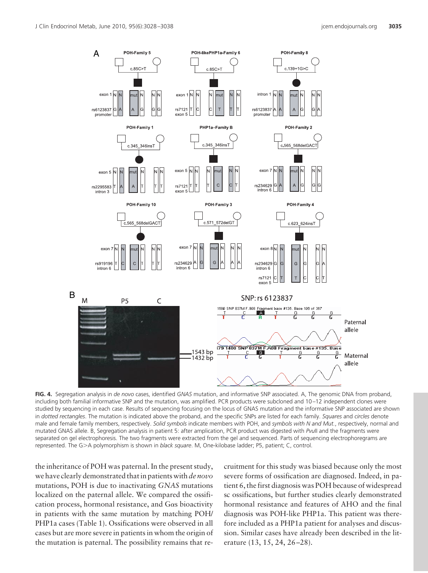

**FIG. 4.** Segregation analysis in *de novo* cases, identified *GNAS* mutation, and informative SNP associated. A, The genomic DNA from proband, including both familial informative SNP and the mutation, was amplified. PCR products were subcloned and 10–12 independent clones were studied by sequencing in each case. Results of sequencing focusing on the locus of GNAS mutation and the informative SNP associated are shown in *dotted rectangles*. The mutation is indicated above the proband, and the specific SNPs are listed for each family. *Squares* and *circles* denote male and female family members, respectively. *Solid symbols* indicate members with POH, and *symbols with N and Mut.*, respectively, normal and mutated GNAS allele. B, Segregation analysis in patient 5: after amplication, PCR product was digested with *Pvu*II and the fragments were separated on gel electrophoresis. The two fragments were extracted from the gel and sequenced. Parts of sequencing electrophoregrams are represented. The G-A polymorphism is shown in *black square*. M, One-kilobase ladder; P5, patient; C, control.

the inheritance of POH was paternal. In the present study, we have clearly demonstrated that in patients with *de novo* mutations, POH is due to inactivating *GNAS* mutations localized on the paternal allele. We compared the ossification process, hormonal resistance, and  $G\alpha s$  bioactivity in patients with the same mutation by matching POH/ PHP1a cases (Table 1). Ossifications were observed in all cases but are more severe in patients in whom the origin of the mutation is paternal. The possibility remains that recruitment for this study was biased because only the most severe forms of ossification are diagnosed. Indeed, in patient 6, the first diagnosis was POH because of widespread sc ossifications, but further studies clearly demonstrated hormonal resistance and features of AHO and the final diagnosis was POH-like PHP1a. This patient was therefore included as a PHP1a patient for analyses and discussion. Similar cases have already been described in the literature (13, 15, 24, 26–28).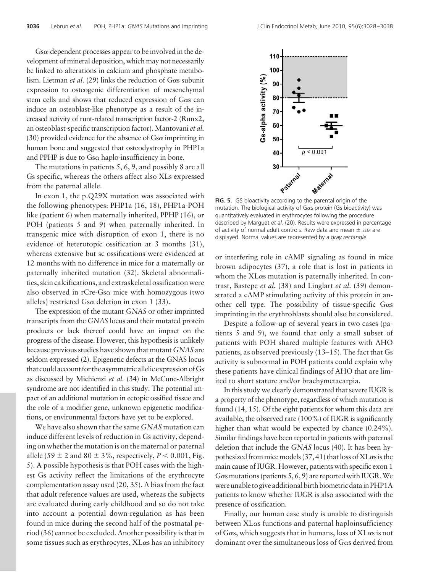$Gs\alpha$ -dependent processes appear to be involved in the development of mineral deposition, which may not necessarily be linked to alterations in calcium and phosphate metabolism. Lietman *et al.* (29) links the reduction of G $\alpha$ s subunit expression to osteogenic differentiation of mesenchymal stem cells and shows that reduced expression of  $G\alpha s$  can induce an osteoblast-like phenotype as a result of the increased activity of runt-related transcription factor-2 (Runx2, an osteoblast-specific transcription factor). Mantovani *et al.* (30) provided evidence for the absence of  $Gs\alpha$  imprinting in human bone and suggested that osteodystrophy in PHP1a and PPHP is due to  $Gs\alpha$  haplo-insufficiency in bone.

The mutations in patients 5, 6, 9, and possibly 8 are all Gs specific, whereas the others affect also XLs expressed from the paternal allele.

In exon 1, the p.Q29X mutation was associated with the following phenotypes: PHP1a (16, 18), PHP1a-POH like (patient 6) when maternally inherited, PPHP (16), or POH (patients 5 and 9) when paternally inherited. In transgenic mice with disruption of exon 1, there is no evidence of heterotopic ossification at 3 months (31), whereas extensive but sc ossifications were evidenced at 12 months with no difference in mice for a maternally or paternally inherited mutation (32). Skeletal abnormalities, skin calcifications, and extraskeletal ossification were also observed in  $rCre-Gs\alpha$  mice with homozygous (two alleles) restricted Gs $\alpha$  deletion in exon 1 (33).

The expression of the mutant *GNAS* or other imprinted transcripts from the *GNAS* locus and their mutated protein products or lack thereof could have an impact on the progress of the disease. However, this hypothesis is unlikely because previous studies have shown that mutant *GNAS* are seldom expressed (2). Epigenetic defects at the GNAS locus thatcould account for the asymmetric allelicexpressionofGs as discussed by Michienzi *et al.* (34) in McCune-Albright syndrome are not identified in this study. The potential impact of an additional mutation in ectopic ossified tissue and the role of a modifier gene, unknown epigenetic modifications, or environmental factors have yet to be explored.

We have also shown that the same *GNAS* mutation can induce different levels of reduction in Gs activity, depending on whether the mutation is on the maternal or paternal allele (59  $\pm$  2 and 80  $\pm$  3%, respectively, *P* < 0.001, Fig. 5). A possible hypothesis is that POH cases with the highest Gs activity reflect the limitations of the erythrocyte complementation assay used (20, 35). A bias from the fact that adult reference values are used, whereas the subjects are evaluated during early childhood and so do not take into account a potential down-regulation as has been found in mice during the second half of the postnatal period (36) cannot be excluded. Another possibility is that in some tissues such as erythrocytes,  $X$ L $\alpha$ s has an inhibitory



**FIG. 5.** GS bioactivity according to the parental origin of the mutation. The biological activity of  $G \alpha s$  protein (Gs bioactivity) was quantitatively evaluated in erythrocytes following the procedure described by Marguet *et al.* (20). Results were expressed in percentage of activity of normal adult controls. Raw data and mean  $\pm$  sEM are displayed. Normal values are represented by a *gray rectangle*.

or interfering role in cAMP signaling as found in mice brown adipocytes (37), a role that is lost in patients in whom the  $X$ L $\alpha$ s mutation is paternally inherited. In contrast, Bastepe *et al.* (38) and Linglart *et al.* (39) demonstrated a cAMP stimulating activity of this protein in another cell type. The possibility of tissue-specific  $G\alpha s$ imprinting in the erythroblasts should also be considered.

Despite a follow-up of several years in two cases (patients 5 and 9), we found that only a small subset of patients with POH shared multiple features with AHO patients, as observed previously (13–15). The fact that Gs activity is subnormal in POH patients could explain why these patients have clinical findings of AHO that are limited to short stature and/or brachymetacarpia.

In this study we clearly demonstrated that severe IUGR is a property of the phenotype, regardless of which mutation is found (14, 15). Of the eight patients for whom this data are available, the observed rate (100%) of IUGR is significantly higher than what would be expected by chance (0.24%). Similar findings have been reported in patients with paternal deletion that include the *GNAS* locus (40). It has been hypothesized from mice models  $(37, 41)$  that loss of XL $\alpha$ s is the main cause of IUGR. However, patients with specific exon 1 G $\alpha$ s mutations (patients 5, 6, 9) are reported with IUGR. We were unable to give additional birth biometric data in PHP1A patients to know whether IUGR is also associated with the presence of ossification.

Finally, our human case study is unable to distinguish between  $X$ L $\alpha$ s functions and paternal haploinsufficiency of G $\alpha$ s, which suggests that in humans, loss of XL $\alpha$ s is not dominant over the simultaneous loss of  $G\alpha s$  derived from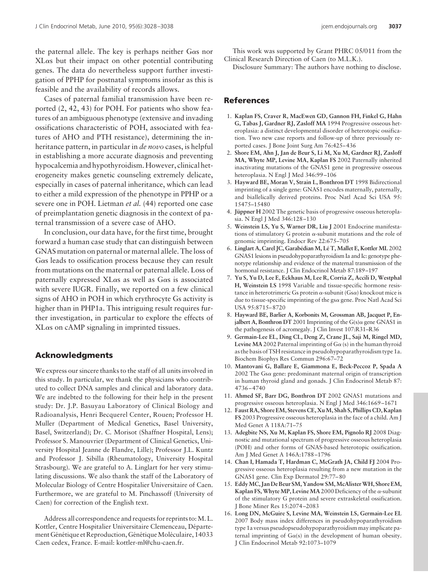the paternal allele. The key is perhaps neither  $G\alpha s$  nor  $X$ L $\alpha$ s but their impact on other potential contributing genes. The data do nevertheless support further investigation of PPHP for postnatal symptoms insofar as this is feasible and the availability of records allows.

Cases of paternal familial transmission have been reported (2, 42, 43) for POH. For patients who show features of an ambiguous phenotype (extensive and invading ossifications characteristic of POH, associated with features of AHO and PTH resistance), determining the inheritance pattern, in particular in *de novo* cases, is helpful in establishing a more accurate diagnosis and preventing hypocalcemia and hypothyroidism. However, clinical heterogeneity makes genetic counseling extremely delicate, especially in cases of paternal inheritance, which can lead to either a mild expression of the phenotype in PPHP or a severe one in POH. Lietman *et al.* (44) reported one case of preimplantation genetic diagnosis in the context of paternal transmission of a severe case of AHO.

In conclusion, our data have, for the first time, brought forward a human case study that can distinguish between GNAS mutation on paternal or maternal allele. The loss of Gas leads to ossification process because they can result from mutations on the maternal or paternal allele. Loss of paternally expressed  $X$ L $\alpha$ s as well as G $\alpha$ s is associated with severe IUGR. Finally, we reported on a few clinical signs of AHO in POH in which erythrocyte Gs activity is higher than in PHP1a. This intriguing result requires further investigation, in particular to explore the effects of  $X$ L $\alpha$ s on cAMP signaling in imprinted tissues.

# **Acknowledgments**

We express our sincere thanks to the staff of all units involved in this study. In particular, we thank the physicians who contributed to collect DNA samples and clinical and laboratory data. We are indebted to the following for their help in the present study: Dr. J.P. Basuyau Laboratory of Clinical Biology and Radioanalysis, Henri Becquerel Center, Rouen; Professor H. Muller (Department of Medical Genetics, Basel University, Basel, Switzerland); Dr. C. Morisot (Shaffner Hospital, Lens); Professor S. Manouvrier (Department of Clinical Genetics, University Hospital Jeanne de Flandre, Lille); Professor J.L. Kuntz and Professor J. Sibilla (Rheumatology, University Hospital Strasbourg). We are grateful to A. Linglart for her very stimulating discussions. We also thank the staff of the Laboratory of Molecular Biology of Centre Hospitalier Universitaire of Caen. Furthermore, we are grateful to M. Pinchassoff (University of Caen) for correction of the English text.

Address all correspondence and requests for reprints to: M.L. Kottler, Centre Hospitalier Universitaire Clemenceau, Département Génétique et Reproduction, Génétique Moléculaire, 14033 Caen cedex, France. E-mail: kottler-ml@chu-caen.fr.

This work was supported by Grant PHRC 05/011 from the Clinical Research Direction of Caen (to M.L.K.).

Disclosure Summary: The authors have nothing to disclose.

# **References**

- 1. **Kaplan FS, Craver R, MacEwen GD, Gannon FH, Finkel G, Hahn G, Tabas J, Gardner RJ, Zasloff MA** 1994 Progressive osseous heteroplasia: a distinct developmental disorder of heterotopic ossification. Two new case reports and follow-up of three previously reported cases. J Bone Joint Surg Am 76:425– 436
- 2. **Shore EM, Ahn J, Jan de Beur S, Li M, Xu M, Gardner RJ, Zasloff MA, Whyte MP, Levine MA, Kaplan FS** 2002 Paternally inherited inactivating mutations of the GNAS1 gene in progressive osseous heteroplasia. N Engl J Med 346:99 –106
- 3. **Hayward BE, Moran V, Strain L, Bonthron DT** 1998 Bidirectional imprinting of a single gene: GNAS1 encodes maternally, paternally, and biallelically derived proteins. Proc Natl Acad Sci USA 95: 15475–15480
- 4. **Jüppner H** 2002 The genetic basis of progressive osseous heteroplasia. N Engl J Med 346:128 –130
- 5. **Weinstein LS, Yu S, Warner DR, Liu J** 2001 Endocrine manifestations of stimulatory G protein  $\alpha$ -subunit mutations and the role of genomic imprinting. Endocr Rev 22:675–705
- 6. **Linglart A, Carel JC, Garabe´dian M, Le´ T, Mallet E, Kottler ML** 2002 GNAS1 lesions in pseudohypoparathyroidism Ia and Ic: genotype phenotype relationship and evidence of the maternal transmission of the hormonal resistance. J Clin Endocrinol Metab 87:189-197
- 7. **Yu S, Yu D, Lee E, Eckhaus M, Lee R, Corria Z, Accili D, Westphal H, Weinstein LS** 1998 Variable and tissue-specific hormone resistance in heterotrimeric Gs protein  $\alpha$ -subunit (Gs $\alpha$ ) knockout mice is due to tissue-specific imprinting of the gs $\alpha$  gene. Proc Natl Acad Sci USA 95:8715– 8720
- 8. **Hayward BE, Barlier A, Korbonits M, Grossman AB, Jacquet P, Enjalbert A, Bonthron DT** 2001 Imprinting of the  $G(s)\alpha$  gene GNAS1 in the pathogenesis of acromegaly. J Clin Invest 107:R31–R36
- 9. **Germain-Lee EL, Ding CL, Deng Z, Crane JL, Saji M, Ringel MD,** Levine MA 2002 Paternal imprinting of  $G\alpha$  (s) in the human thyroid as the basis of TSH resistance in pseudohypoparathyroidism type 1a. Biochem Biophys Res Commun 296:67–72
- 10. **Mantovani G, Ballare E, Giammona E, Beck-Peccoz P, Spada A**  $2002$  The Gs $\alpha$  gene: predominant maternal origin of transcription in human thyroid gland and gonads. J Clin Endocrinol Metab 87: 4736 – 4740
- 11. **Ahmed SF, Barr DG, Bonthron DT** 2002 GNAS1 mutations and progressive osseous heteroplasia. N Engl J Med 346:1669 –1671
- 12. **Faust RA, Shore EM, Stevens CE, XuM, Shah S, Phillips CD, Kaplan FS** 2003 Progressive osseous heteroplasia in the face of a child. Am J Med Genet A 118A:71–75
- 13. **Adegbite NS, Xu M, Kaplan FS, Shore EM, Pignolo RJ** 2008 Diagnostic and mutational spectrum of progressive osseous heteroplasia (POH) and other forms of GNAS-based heterotopic ossification. Am J Med Genet A 146A:1788 –1796
- 14. **Chan I, Hamada T, Hardman C, McGrath JA, Child FJ** 2004 Progressive osseous heteroplasia resulting from a new mutation in the GNAS1 gene. Clin Exp Dermatol 29:77– 80
- 15. **EddyMC, Jan De Beur SM, Yandow SM,McAlisterWH, Shore EM, Kaplan FS, Whyte MP, Levine MA** 2000 Deficiency of the  $\alpha$ -subunit of the stimulatory G protein and severe extraskeletal ossification. J Bone Miner Res 15:2074 –2083
- 16. **Long DN, McGuire S, Levine MA, Weinstein LS, Germain-Lee EL** 2007 Body mass index differences in pseudohypoparathyroidism type 1a versus pseudopseudohypoparathyroidism may implicate paternal imprinting of  $Ga(s)$  in the development of human obesity. J Clin Endocrinol Metab 92:1073–1079